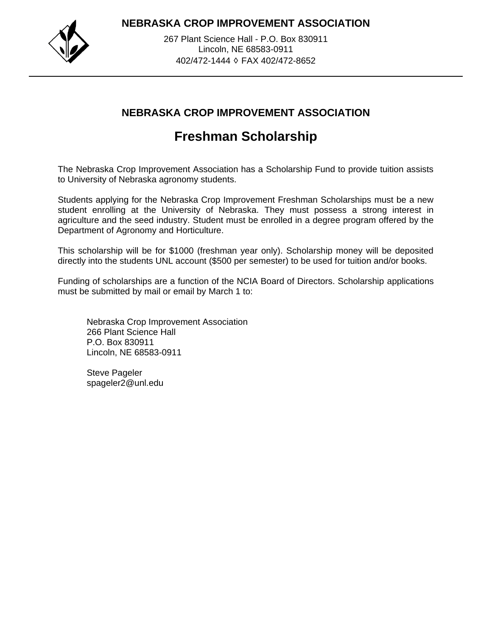**NEBRASKA CROP IMPROVEMENT ASSOCIATION**



267 Plant Science Hall - P.O. Box 830911 Lincoln, NE 68583-0911 402/472-1444 ♢ FAX 402/472-8652

## **NEBRASKA CROP IMPROVEMENT ASSOCIATION**

## **Freshman Scholarship**

The Nebraska Crop Improvement Association has a Scholarship Fund to provide tuition assists to University of Nebraska agronomy students.

Students applying for the Nebraska Crop Improvement Freshman Scholarships must be a new student enrolling at the University of Nebraska. They must possess a strong interest in agriculture and the seed industry. Student must be enrolled in a degree program offered by the Department of Agronomy and Horticulture.

This scholarship will be for \$1000 (freshman year only). Scholarship money will be deposited directly into the students UNL account (\$500 per semester) to be used for tuition and/or books.

Funding of scholarships are a function of the NCIA Board of Directors. Scholarship applications must be submitted by mail or email by March 1 to:

Nebraska Crop Improvement Association 266 Plant Science Hall P.O. Box 830911 Lincoln, NE 68583-0911

Steve Pageler spageler2@unl.edu